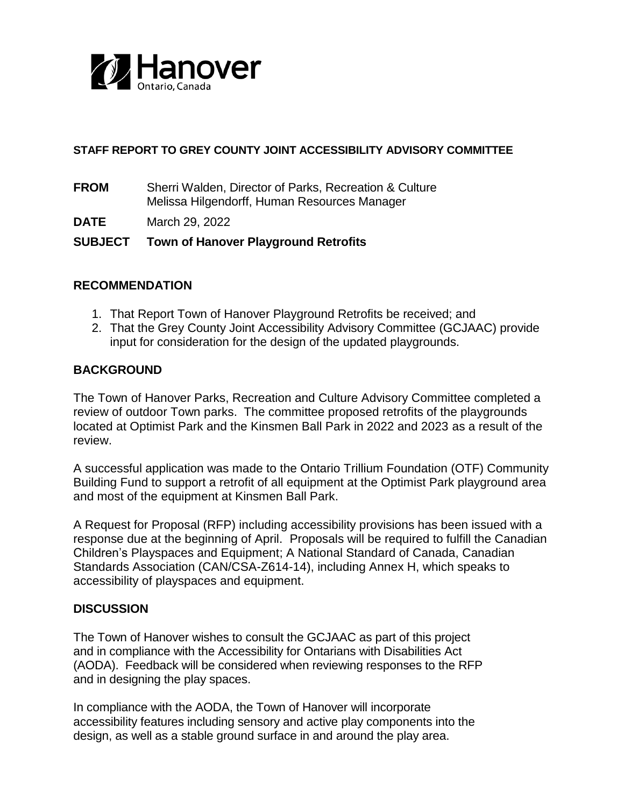

## **STAFF REPORT TO GREY COUNTY JOINT ACCESSIBILITY ADVISORY COMMITTEE**

**FROM** Sherri Walden, Director of Parks, Recreation & Culture Melissa Hilgendorff, Human Resources Manager

**DATE** March 29, 2022

# **SUBJECT Town of Hanover Playground Retrofits**

### **RECOMMENDATION**

- 1. That Report Town of Hanover Playground Retrofits be received; and
- 2. That the Grey County Joint Accessibility Advisory Committee (GCJAAC) provide input for consideration for the design of the updated playgrounds.

### **BACKGROUND**

The Town of Hanover Parks, Recreation and Culture Advisory Committee completed a review of outdoor Town parks. The committee proposed retrofits of the playgrounds located at Optimist Park and the Kinsmen Ball Park in 2022 and 2023 as a result of the review.

A successful application was made to the Ontario Trillium Foundation (OTF) Community Building Fund to support a retrofit of all equipment at the Optimist Park playground area and most of the equipment at Kinsmen Ball Park.

A Request for Proposal (RFP) including accessibility provisions has been issued with a response due at the beginning of April. Proposals will be required to fulfill the Canadian Children's Playspaces and Equipment; A National Standard of Canada, Canadian Standards Association (CAN/CSA-Z614-14), including Annex H, which speaks to accessibility of playspaces and equipment.

### **DISCUSSION**

The Town of Hanover wishes to consult the GCJAAC as part of this project and in compliance with the Accessibility for Ontarians with Disabilities Act (AODA). Feedback will be considered when reviewing responses to the RFP and in designing the play spaces.

In compliance with the AODA, the Town of Hanover will incorporate accessibility features including sensory and active play components into the design, as well as a stable ground surface in and around the play area.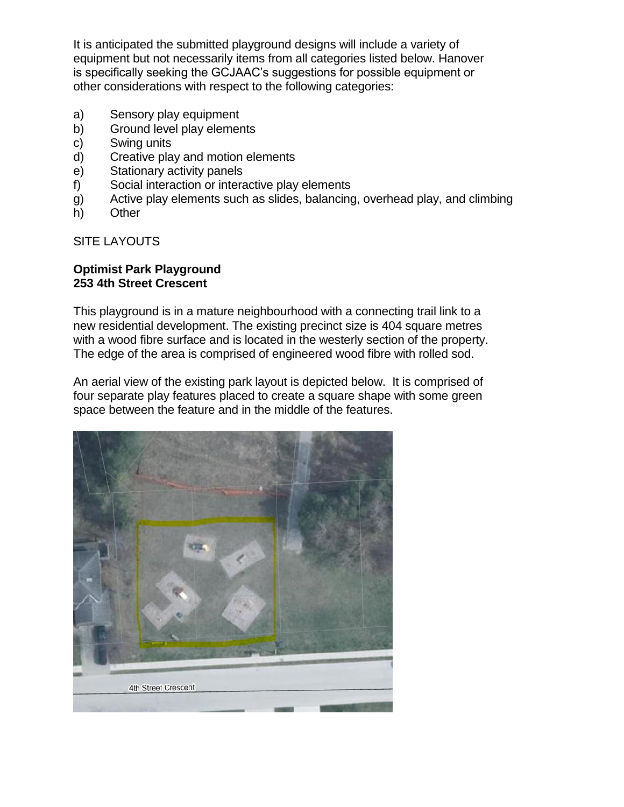It is anticipated the submitted playground designs will include a variety of equipment but not necessarily items from all categories listed below. Hanover is specifically seeking the GCJAAC's suggestions for possible equipment or other considerations with respect to the following categories:

- a) Sensory play equipment
- b) Ground level play elements
- c) Swing units
- d) Creative play and motion elements
- e) Stationary activity panels
- f) Social interaction or interactive play elements
- g) Active play elements such as slides, balancing, overhead play, and climbing
- h) Other

SITE LAYOUTS

### **Optimist Park Playground 253 4th Street Crescent**

This playground is in a mature neighbourhood with a connecting trail link to a new residential development. The existing precinct size is 404 square metres with a wood fibre surface and is located in the westerly section of the property. The edge of the area is comprised of engineered wood fibre with rolled sod.

An aerial view of the existing park layout is depicted below. It is comprised of four separate play features placed to create a square shape with some green space between the feature and in the middle of the features.